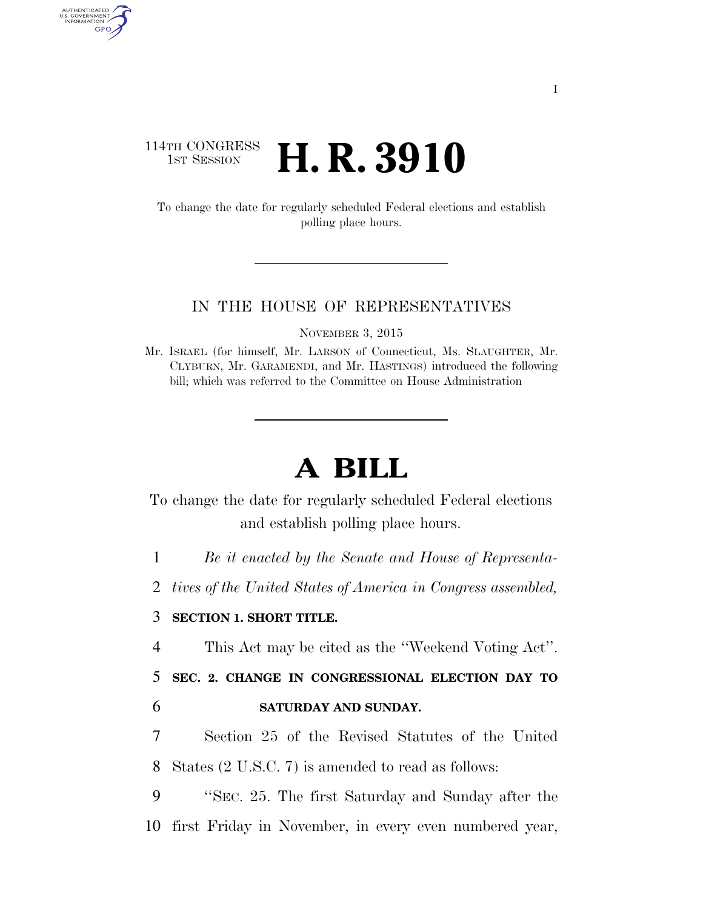## 114TH CONGRESS **1ST SESSION <b>H. R. 3910**

AUTHENTICATED<br>U.S. GOVERNMENT<br>INFORMATION GPO

> To change the date for regularly scheduled Federal elections and establish polling place hours.

#### IN THE HOUSE OF REPRESENTATIVES

NOVEMBER 3, 2015

Mr. ISRAEL (for himself, Mr. LARSON of Connecticut, Ms. SLAUGHTER, Mr. CLYBURN, Mr. GARAMENDI, and Mr. HASTINGS) introduced the following bill; which was referred to the Committee on House Administration

# **A BILL**

To change the date for regularly scheduled Federal elections and establish polling place hours.

1 *Be it enacted by the Senate and House of Representa-*

2 *tives of the United States of America in Congress assembled,* 

#### 3 **SECTION 1. SHORT TITLE.**

4 This Act may be cited as the ''Weekend Voting Act''.

5 **SEC. 2. CHANGE IN CONGRESSIONAL ELECTION DAY TO** 

#### 6 **SATURDAY AND SUNDAY.**

7 Section 25 of the Revised Statutes of the United 8 States (2 U.S.C. 7) is amended to read as follows:

9 ''SEC. 25. The first Saturday and Sunday after the 10 first Friday in November, in every even numbered year,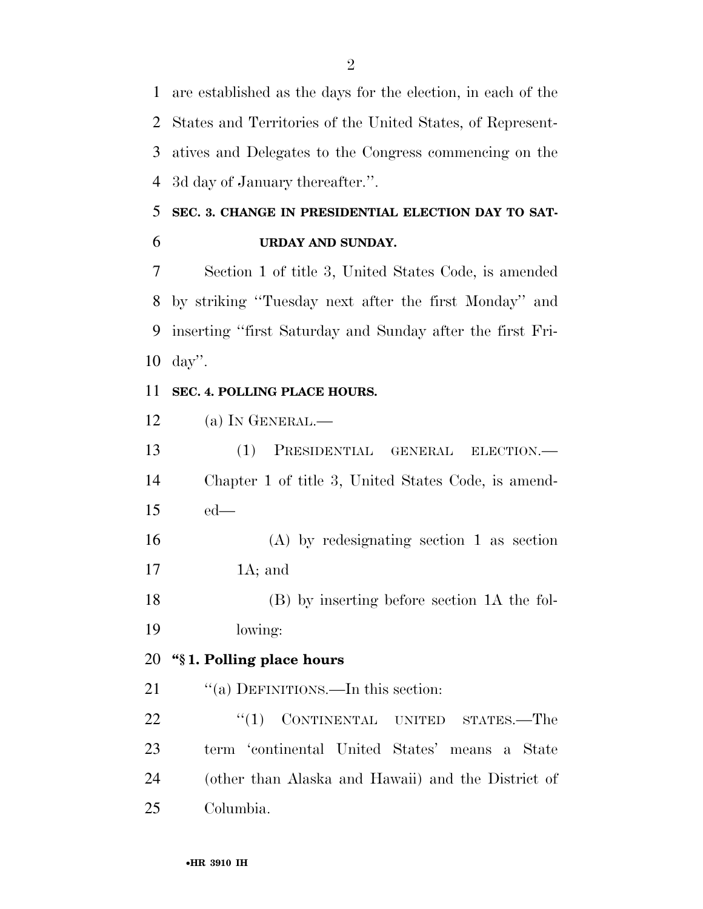are established as the days for the election, in each of the States and Territories of the United States, of Represent- atives and Delegates to the Congress commencing on the 3d day of January thereafter.''.

# **SEC. 3. CHANGE IN PRESIDENTIAL ELECTION DAY TO SAT-URDAY AND SUNDAY.**

 Section 1 of title 3, United States Code, is amended by striking ''Tuesday next after the first Monday'' and inserting ''first Saturday and Sunday after the first Fri-day''.

#### **SEC. 4. POLLING PLACE HOURS.**

(a) IN GENERAL.—

 (1) PRESIDENTIAL GENERAL ELECTION.— Chapter 1 of title 3, United States Code, is amend-ed—

 (A) by redesignating section 1 as section 1A; and

 (B) by inserting before section 1A the fol-lowing:

### **''§ 1. Polling place hours**

21 "(a) DEFINITIONS.—In this section:

22 "(1) CONTINENTAL UNITED STATES.—The term 'continental United States' means a State (other than Alaska and Hawaii) and the District of Columbia.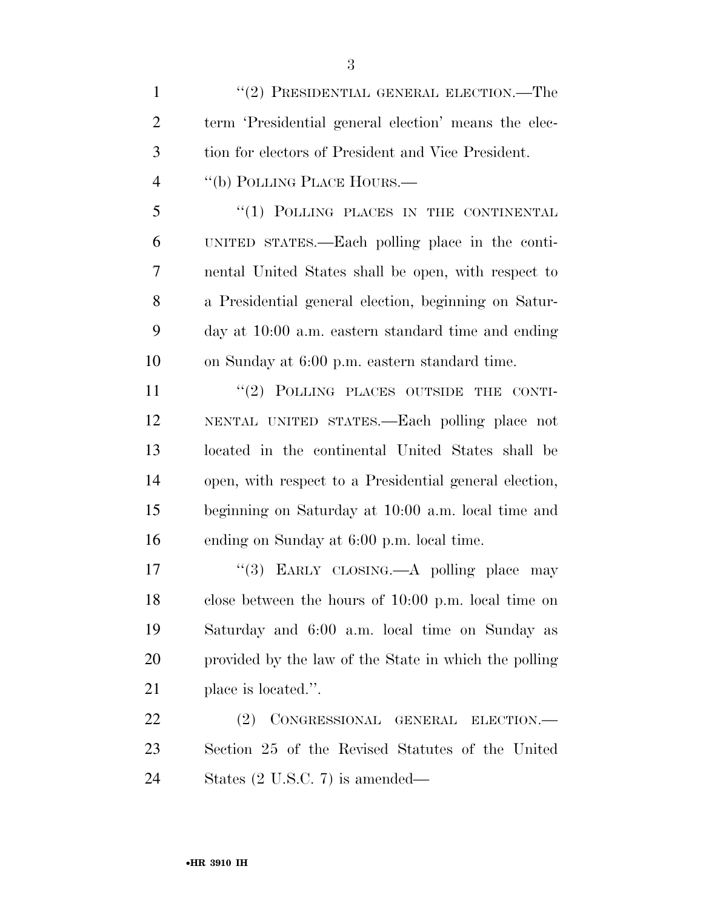1 ''(2) PRESIDENTIAL GENERAL ELECTION.—The term 'Presidential general election' means the elec- tion for electors of President and Vice President. 4 "(b) POLLING PLACE HOURS.— 5 "(1) POLLING PLACES IN THE CONTINENTAL UNITED STATES.—Each polling place in the conti-nental United States shall be open, with respect to

 a Presidential general election, beginning on Satur- day at 10:00 a.m. eastern standard time and ending on Sunday at 6:00 p.m. eastern standard time.

11 "(2) POLLING PLACES OUTSIDE THE CONTI- NENTAL UNITED STATES.—Each polling place not located in the continental United States shall be open, with respect to a Presidential general election, beginning on Saturday at 10:00 a.m. local time and ending on Sunday at 6:00 p.m. local time.

17 "(3) EARLY CLOSING.—A polling place may close between the hours of 10:00 p.m. local time on Saturday and 6:00 a.m. local time on Sunday as provided by the law of the State in which the polling place is located.''.

 (2) CONGRESSIONAL GENERAL ELECTION.— Section 25 of the Revised Statutes of the United States (2 U.S.C. 7) is amended—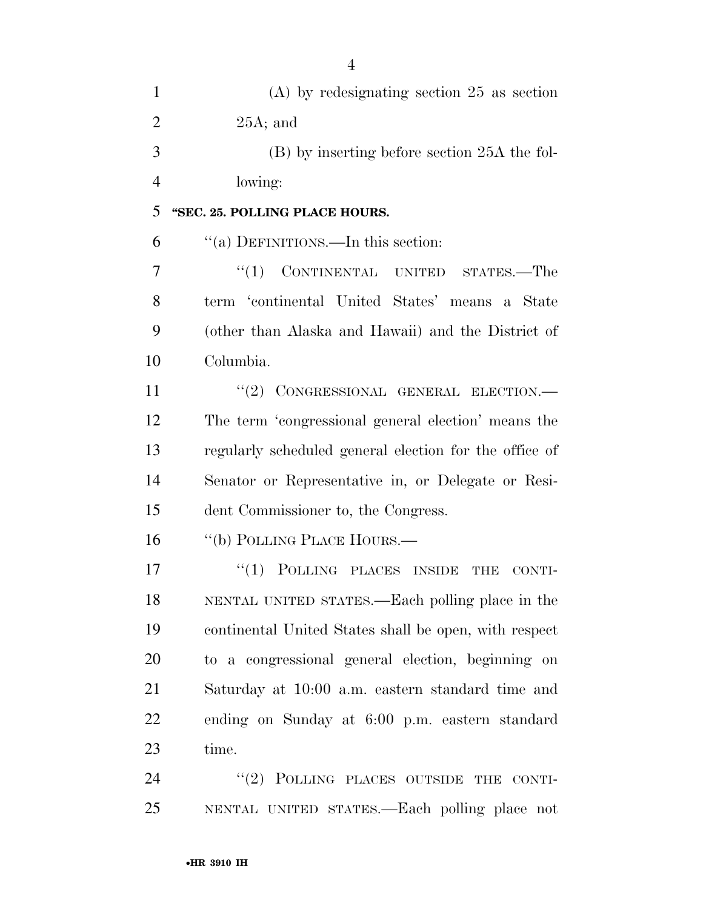| 1              | $(A)$ by redesignating section 25 as section           |
|----------------|--------------------------------------------------------|
| $\overline{2}$ | $25A$ ; and                                            |
| 3              | (B) by inserting before section 25A the fol-           |
| $\overline{4}$ | lowing:                                                |
| 5              | "SEC. 25. POLLING PLACE HOURS.                         |
| 6              | "(a) DEFINITIONS.—In this section:                     |
| 7              | "(1) CONTINENTAL UNITED STATES.—The                    |
| 8              | term 'continental United States' means a State         |
| 9              | (other than Alaska and Hawaii) and the District of     |
| 10             | Columbia.                                              |
| 11             | "(2) CONGRESSIONAL GENERAL ELECTION.-                  |
| 12             | The term 'congressional general election' means the    |
| 13             | regularly scheduled general election for the office of |
| 14             | Senator or Representative in, or Delegate or Resi-     |
| 15             | dent Commissioner to, the Congress.                    |
| 16             | "(b) POLLING PLACE HOURS.—                             |
| 17             | $\lq(1)$ POLLING PLACES INSIDE<br>THE<br>CONTI-        |
| 18             | NENTAL UNITED STATES.—Each polling place in the        |
| 19             | continental United States shall be open, with respect  |
| 20             | to a congressional general election, beginning on      |
| 21             | Saturday at 10:00 a.m. eastern standard time and       |
| 22             | ending on Sunday at 6:00 p.m. eastern standard         |
| 23             | time.                                                  |
| 24             | "(2) POLLING PLACES OUTSIDE THE CONTI-                 |
| 25             | NENTAL UNITED STATES.—Each polling place not           |